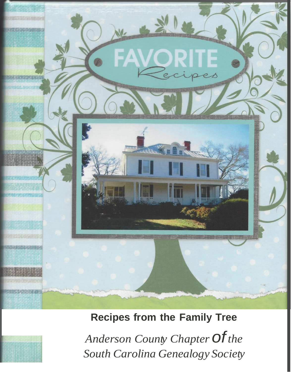

### **Recipes from the Family Tree**

*Anderson County Chapterofthe South Carolina Genealogy Society*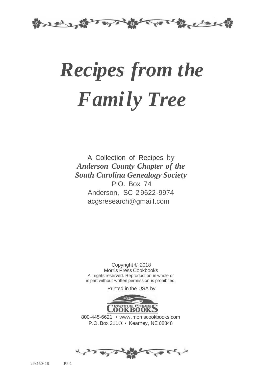

# *Recipes from the Family Tree*

A Collection of Recipes by *Anderson County Chapter of the South Carolina Genealogy Society* P.O. Box 74 Anderson, SC 29622-9974 acgsresearch@gmai I.com

Copyright © 2018 Morris Press Cookbooks All rights reserved. Reproduction in whole or in part without written permission is prohibited.

Printed in the USA by



800-445-6621 • www.morriscookbooks.com P.O. Box 211O • Kearney, NE 68848

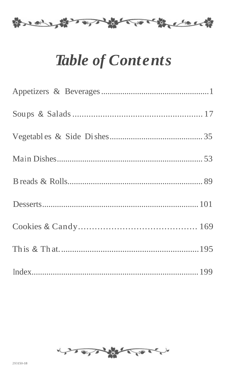

## **Table of Contents**

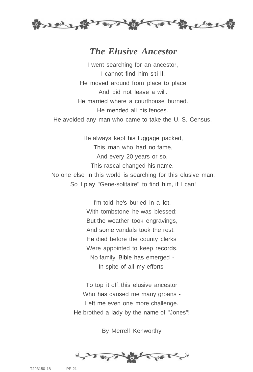

#### *The Elusive Ancestor*

I went searching for an ancestor, I cannot find him still . He moved around from place to place And did not leave a will. He married where a courthouse burned. He mended all his fences. He avoided any man who came to take the U. S. Census.

He always kept his luggage packed, This man who had no fame, And every 20 years or so, This rascal changed his name. No one else in this world is searching for this elusive man, So I play "Gene-solitaire" to find him, if I can!

> I'm told he's buried in a lot. With tombstone he was blessed: But the weather took engravings, And some vandals took the rest. He died before the county clerks Were appointed to keep records. No family Bible has emerged - In spite of all my efforts.

To top it off, this elusive ancestor Who has caused me many groans - Left me even one more challenge. He brothed a lady by the name of "Jones"!

By Merrell Kenworthy